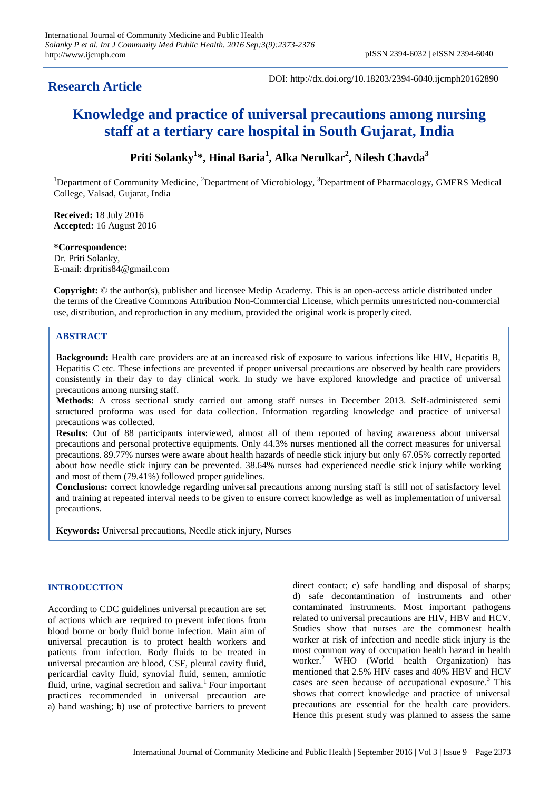# **Research Article**

DOI: http://dx.doi.org/10.18203/2394-6040.ijcmph20162890

# **Knowledge and practice of universal precautions among nursing staff at a tertiary care hospital in South Gujarat, India**

# **Priti Solanky<sup>1</sup> \*, Hinal Baria<sup>1</sup> , Alka Nerulkar<sup>2</sup> , Nilesh Chavda<sup>3</sup>**

<sup>1</sup>Department of Community Medicine, <sup>2</sup>Department of Microbiology, <sup>3</sup>Department of Pharmacology, GMERS Medical College, Valsad, Gujarat, India

**Received:** 18 July 2016 **Accepted:** 16 August 2016

## **\*Correspondence:** Dr. Priti Solanky, E-mail: drpritis84@gmail.com

**Copyright:** © the author(s), publisher and licensee Medip Academy. This is an open-access article distributed under the terms of the Creative Commons Attribution Non-Commercial License, which permits unrestricted non-commercial use, distribution, and reproduction in any medium, provided the original work is properly cited.

# **ABSTRACT**

**Background:** Health care providers are at an increased risk of exposure to various infections like HIV, Hepatitis B, Hepatitis C etc. These infections are prevented if proper universal precautions are observed by health care providers consistently in their day to day clinical work. In study we have explored knowledge and practice of universal precautions among nursing staff.

**Methods:** A cross sectional study carried out among staff nurses in December 2013. Self-administered semi structured proforma was used for data collection. Information regarding knowledge and practice of universal precautions was collected.

**Results:** Out of 88 participants interviewed, almost all of them reported of having awareness about universal precautions and personal protective equipments. Only 44.3% nurses mentioned all the correct measures for universal precautions. 89.77% nurses were aware about health hazards of needle stick injury but only 67.05% correctly reported about how needle stick injury can be prevented. 38.64% nurses had experienced needle stick injury while working and most of them (79.41%) followed proper guidelines.

**Conclusions:** correct knowledge regarding universal precautions among nursing staff is still not of satisfactory level and training at repeated interval needs to be given to ensure correct knowledge as well as implementation of universal precautions.

**Keywords:** Universal precautions, Needle stick injury, Nurses

## **INTRODUCTION**

According to CDC guidelines universal precaution are set of actions which are required to prevent infections from blood borne or body fluid borne infection. Main aim of universal precaution is to protect health workers and patients from infection. Body fluids to be treated in universal precaution are blood, CSF, pleural cavity fluid, pericardial cavity fluid, synovial fluid, semen, amniotic fluid, urine, vaginal secretion and saliva.<sup>1</sup> Four important practices recommended in universal precaution are a) hand washing; b) use of protective barriers to prevent direct contact; c) safe handling and disposal of sharps; d) safe decontamination of instruments and other contaminated instruments. Most important pathogens related to universal precautions are HIV, HBV and HCV. Studies show that nurses are the commonest health worker at risk of infection and needle stick injury is the most common way of occupation health hazard in health worker.<sup>2</sup> WHO (World health Organization) has mentioned that 2.5% HIV cases and 40% HBV and HCV cases are seen because of occupational exposure.<sup>3</sup> This shows that correct knowledge and practice of universal precautions are essential for the health care providers. Hence this present study was planned to assess the same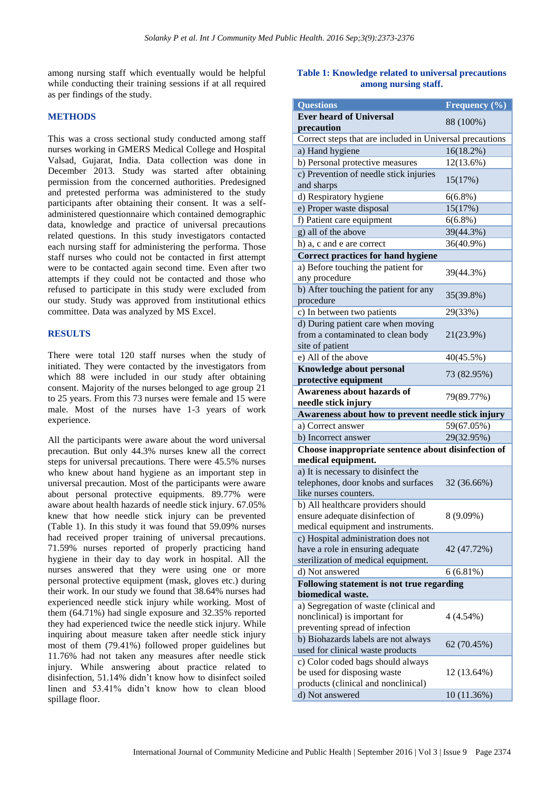among nursing staff which eventually would be helpful while conducting their training sessions if at all required as per findings of the study.

#### **METHODS**

This was a cross sectional study conducted among staff nurses working in GMERS Medical College and Hospital Valsad, Gujarat, India. Data collection was done in December 2013. Study was started after obtaining permission from the concerned authorities. Predesigned and pretested performa was administered to the study participants after obtaining their consent. It was a selfadministered questionnaire which contained demographic data, knowledge and practice of universal precautions related questions. In this study investigators contacted each nursing staff for administering the performa. Those staff nurses who could not be contacted in first attempt were to be contacted again second time. Even after two attempts if they could not be contacted and those who refused to participate in this study were excluded from our study. Study was approved from institutional ethics committee. Data was analyzed by MS Excel.

#### **RESULTS**

There were total 120 staff nurses when the study of initiated. They were contacted by the investigators from which 88 were included in our study after obtaining consent. Majority of the nurses belonged to age group 21 to 25 years. From this 73 nurses were female and 15 were male. Most of the nurses have 1-3 years of work experience.

All the participants were aware about the word universal precaution. But only 44.3% nurses knew all the correct steps for universal precautions. There were 45.5% nurses who knew about hand hygiene as an important step in universal precaution. Most of the participants were aware about personal protective equipments. 89.77% were aware about health hazards of needle stick injury. 67.05% knew that how needle stick injury can be prevented (Table 1). In this study it was found that 59.09% nurses had received proper training of universal precautions. 71.59% nurses reported of properly practicing hand hygiene in their day to day work in hospital. All the nurses answered that they were using one or more personal protective equipment (mask, gloves etc.) during their work. In our study we found that 38.64% nurses had experienced needle stick injury while working. Most of them (64.71%) had single exposure and 32.35% reported they had experienced twice the needle stick injury. While inquiring about measure taken after needle stick injury most of them (79.41%) followed proper guidelines but 11.76% had not taken any measures after needle stick injury. While answering about practice related to disinfection, 51.14% didn't know how to disinfect soiled linen and 53.41% didn't know how to clean blood spillage floor.

# **Table 1: Knowledge related to universal precautions among nursing staff.**

| <b>Questions</b>                                                                                               | Frequency $(\% )$ |  |
|----------------------------------------------------------------------------------------------------------------|-------------------|--|
| <b>Ever heard of Universal</b>                                                                                 |                   |  |
| precaution                                                                                                     | 88 (100%)         |  |
| Correct steps that are included in Universal precautions                                                       |                   |  |
| a) Hand hygiene                                                                                                | 16(18.2%)         |  |
| b) Personal protective measures                                                                                | 12(13.6%)         |  |
| c) Prevention of needle stick injuries<br>and sharps                                                           | 15(17%)           |  |
| d) Respiratory hygiene                                                                                         | $6(6.8\%)$        |  |
| e) Proper waste disposal                                                                                       | 15(17%)           |  |
| f) Patient care equipment                                                                                      | $6(6.8\%)$        |  |
| g) all of the above                                                                                            | 39(44.3%)         |  |
| h) a, c and e are correct                                                                                      | 36(40.9%)         |  |
| <b>Correct practices for hand hygiene</b>                                                                      |                   |  |
| a) Before touching the patient for                                                                             |                   |  |
| any procedure                                                                                                  | 39(44.3%)         |  |
| b) After touching the patient for any                                                                          | 35(39.8%)         |  |
| procedure                                                                                                      |                   |  |
| c) In between two patients                                                                                     | 29(33%)           |  |
| d) During patient care when moving<br>from a contaminated to clean body<br>site of patient                     | 21(23.9%)         |  |
| e) All of the above                                                                                            | 40(45.5%)         |  |
| Knowledge about personal                                                                                       |                   |  |
| protective equipment                                                                                           | 73 (82.95%)       |  |
| Awareness about hazards of                                                                                     | 79(89.77%)        |  |
| needle stick injury                                                                                            |                   |  |
| Awareness about how to prevent needle stick injury                                                             |                   |  |
| a) Correct answer                                                                                              | 59(67.05%)        |  |
| b) Incorrect answer                                                                                            | 29(32.95%)        |  |
| Choose inappropriate sentence about disinfection of                                                            |                   |  |
| medical equipment.                                                                                             |                   |  |
| a) It is necessary to disinfect the<br>telephones, door knobs and surfaces<br>like nurses counters.            | 32 (36.66%)       |  |
| b) All healthcare providers should<br>ensure adequate disinfection of<br>medical equipment and instruments.    | 8 (9.09%)         |  |
| c) Hospital administration does not<br>have a role in ensuring adequate<br>sterilization of medical equipment. | 42 (47.72%)       |  |
| d) Not answered                                                                                                | 6(6.81%)          |  |
| Following statement is not true regarding                                                                      |                   |  |
| biomedical waste.                                                                                              |                   |  |
| a) Segregation of waste (clinical and<br>nonclinical) is important for<br>preventing spread of infection       | 4 (4.54%)         |  |
| b) Biohazards labels are not always<br>used for clinical waste products                                        | 62 (70.45%)       |  |
| c) Color coded bags should always<br>be used for disposing waste<br>products (clinical and nonclinical)        | 12 (13.64%)       |  |
| d) Not answered                                                                                                | 10 (11.36%)       |  |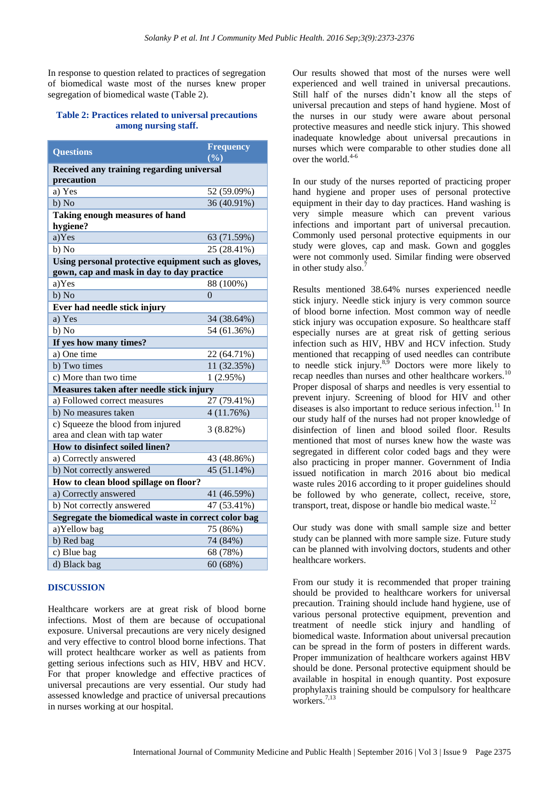In response to question related to practices of segregation of biomedical waste most of the nurses knew proper segregation of biomedical waste (Table 2).

#### **Table 2: Practices related to universal precautions among nursing staff.**

| <b>Questions</b>                                                   | <b>Frequency</b> |  |
|--------------------------------------------------------------------|------------------|--|
|                                                                    | (%)              |  |
| Received any training regarding universal                          |                  |  |
| precaution                                                         |                  |  |
| a) Yes                                                             | 52 (59.09%)      |  |
| b) No                                                              | 36 (40.91%)      |  |
| Taking enough measures of hand<br>hygiene?                         |                  |  |
| a)Yes                                                              | 63 (71.59%)      |  |
| b) No                                                              | 25 (28.41%)      |  |
| Using personal protective equipment such as gloves,                |                  |  |
| gown, cap and mask in day to day practice                          |                  |  |
| a)Yes                                                              | 88 (100%)        |  |
| b) No                                                              | 0                |  |
| Ever had needle stick injury                                       |                  |  |
| a) Yes                                                             | 34 (38.64%)      |  |
| b) No                                                              | 54 (61.36%)      |  |
| If yes how many times?                                             |                  |  |
| a) One time                                                        | 22 (64.71%)      |  |
| b) Two times                                                       | 11 (32.35%)      |  |
| c) More than two time                                              | 1(2.95%)         |  |
| Measures taken after needle stick injury                           |                  |  |
| a) Followed correct measures                                       | 27 (79.41%)      |  |
| b) No measures taken                                               | 4(11.76%)        |  |
| c) Squeeze the blood from injured<br>area and clean with tap water | $3(8.82\%)$      |  |
| How to disinfect soiled linen?                                     |                  |  |
| a) Correctly answered                                              | 43 (48.86%)      |  |
| b) Not correctly answered                                          | 45 (51.14%)      |  |
| How to clean blood spillage on floor?                              |                  |  |
| a) Correctly answered                                              | 41 (46.59%)      |  |
| b) Not correctly answered                                          | 47 (53.41%)      |  |
| Segregate the biomedical waste in correct color bag                |                  |  |
| a)Yellow bag                                                       | 75 (86%)         |  |
| b) Red bag                                                         | 74 (84%)         |  |
| c) Blue bag                                                        | 68 (78%)         |  |
| d) Black bag                                                       | 60(68%)          |  |

#### **DISCUSSION**

Healthcare workers are at great risk of blood borne infections. Most of them are because of occupational exposure. Universal precautions are very nicely designed and very effective to control blood borne infections. That will protect healthcare worker as well as patients from getting serious infections such as HIV, HBV and HCV. For that proper knowledge and effective practices of universal precautions are very essential. Our study had assessed knowledge and practice of universal precautions in nurses working at our hospital.

Our results showed that most of the nurses were well experienced and well trained in universal precautions. Still half of the nurses didn't know all the steps of universal precaution and steps of hand hygiene. Most of the nurses in our study were aware about personal protective measures and needle stick injury. This showed inadequate knowledge about universal precautions in nurses which were comparable to other studies done all over the world. $4-6$ 

In our study of the nurses reported of practicing proper hand hygiene and proper uses of personal protective equipment in their day to day practices. Hand washing is very simple measure which can prevent various infections and important part of universal precaution. Commonly used personal protective equipments in our study were gloves, cap and mask. Gown and goggles were not commonly used. Similar finding were observed in other study also.<sup>7</sup>

Results mentioned 38.64% nurses experienced needle stick injury. Needle stick injury is very common source of blood borne infection. Most common way of needle stick injury was occupation exposure. So healthcare staff especially nurses are at great risk of getting serious infection such as HIV, HBV and HCV infection. Study mentioned that recapping of used needles can contribute to needle stick injury. $8,9$  Doctors were more likely to recap needles than nurses and other healthcare workers.<sup>10</sup> Proper disposal of sharps and needles is very essential to prevent injury. Screening of blood for HIV and other diseases is also important to reduce serious infection.<sup>11</sup> In our study half of the nurses had not proper knowledge of disinfection of linen and blood soiled floor. Results mentioned that most of nurses knew how the waste was segregated in different color coded bags and they were also practicing in proper manner. Government of India issued notification in march 2016 about bio medical waste rules 2016 according to it proper guidelines should be followed by who generate, collect, receive, store, transport, treat, dispose or handle bio medical waste.<sup>12</sup>

Our study was done with small sample size and better study can be planned with more sample size. Future study can be planned with involving doctors, students and other healthcare workers.

From our study it is recommended that proper training should be provided to healthcare workers for universal precaution. Training should include hand hygiene, use of various personal protective equipment, prevention and treatment of needle stick injury and handling of biomedical waste. Information about universal precaution can be spread in the form of posters in different wards. Proper immunization of healthcare workers against HBV should be done. Personal protective equipment should be available in hospital in enough quantity. Post exposure prophylaxis training should be compulsory for healthcare workers. $7,13$